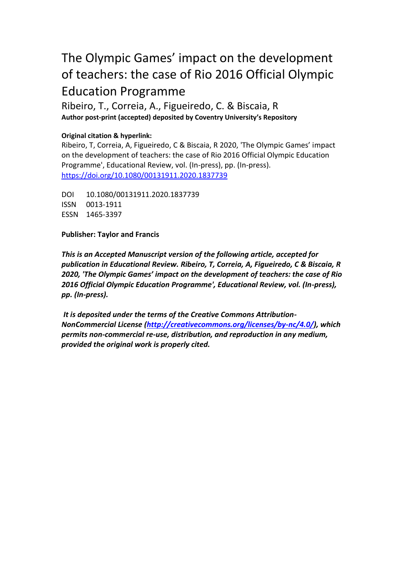# The Olympic Games' impact on the development of teachers: the case of Rio 2016 Official Olympic Education Programme

Ribeiro, T., Correia, A., Figueiredo, C. & Biscaia, R **Author post-print (accepted) deposited by Coventry University's Repository**

## **Original citation & hyperlink:**

Ribeiro, T, Correia, A, Figueiredo, C & Biscaia, R 2020, 'The Olympic Games' impact on the development of teachers: the case of Rio 2016 Official Olympic Education Programme', Educational Review, vol. (In-press), pp. (In-press). <https://doi.org/10.1080/00131911.2020.1837739>

DOI 10.1080/00131911.2020.1837739 ISSN 0013-1911 ESSN 1465-3397

**Publisher: Taylor and Francis**

*This is an Accepted Manuscript version of the following article, accepted for publication in Educational Review. Ribeiro, T, Correia, A, Figueiredo, C & Biscaia, R 2020, 'The Olympic Games' impact on the development of teachers: the case of Rio 2016 Official Olympic Education Programme', Educational Review, vol. (In-press), pp. (In-press).*

*It is deposited under the terms of the Creative Commons Attribution-NonCommercial License [\(http://creativecommons.org/licenses/by-nc/4.0/\)](https://creativecommons.org/licenses/by-nc/4.0/), which permits non-commercial re-use, distribution, and reproduction in any medium, provided the original work is properly cited.*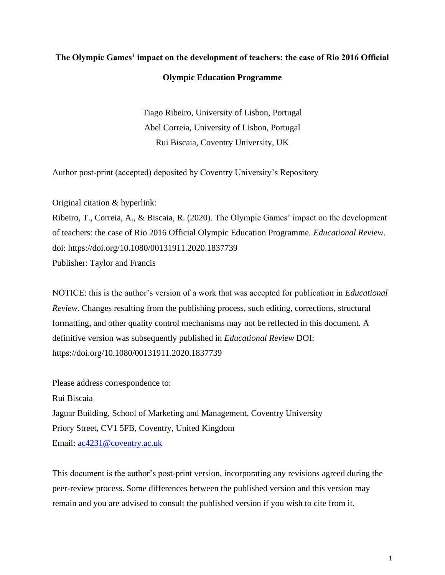## **The Olympic Games' impact on the development of teachers: the case of Rio 2016 Official Olympic Education Programme**

Tiago Ribeiro, University of Lisbon, Portugal Abel Correia, University of Lisbon, Portugal Rui Biscaia, Coventry University, UK

Author post-print (accepted) deposited by Coventry University's Repository

Original citation & hyperlink:

Ribeiro, T., Correia, A., & Biscaia, R. (2020). The Olympic Games' impact on the development of teachers: the case of Rio 2016 Official Olympic Education Programme. *Educational Review*. doi: https://doi.org/10.1080/00131911.2020.1837739 Publisher: Taylor and Francis

NOTICE: this is the author's version of a work that was accepted for publication in *Educational Review*. Changes resulting from the publishing process, such editing, corrections, structural formatting, and other quality control mechanisms may not be reflected in this document. A definitive version was subsequently published in *Educational Review* DOI: https://doi.org/10.1080/00131911.2020.1837739

Please address correspondence to: Rui Biscaia Jaguar Building, School of Marketing and Management, Coventry University Priory Street, CV1 5FB, Coventry, United Kingdom Email: [ac4231@coventry.ac.uk](mailto:ac4231@coventry.ac.uk)

This document is the author's post-print version, incorporating any revisions agreed during the peer-review process. Some differences between the published version and this version may remain and you are advised to consult the published version if you wish to cite from it.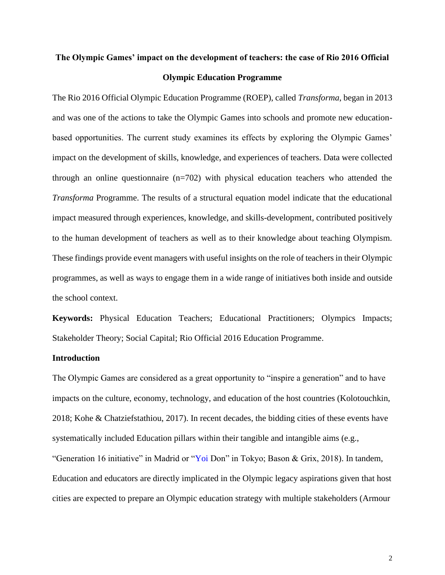## **The Olympic Games' impact on the development of teachers: the case of Rio 2016 Official Olympic Education Programme**

The Rio 2016 Official Olympic Education Programme (ROEP), called *Transforma*, began in 2013 and was one of the actions to take the Olympic Games into schools and promote new educationbased opportunities. The current study examines its effects by exploring the Olympic Games' impact on the development of skills, knowledge, and experiences of teachers. Data were collected through an online questionnaire (n=702) with physical education teachers who attended the *Transforma* Programme. The results of a structural equation model indicate that the educational impact measured through experiences, knowledge, and skills-development, contributed positively to the human development of teachers as well as to their knowledge about teaching Olympism. These findings provide event managers with useful insights on the role of teachers in their Olympic programmes, as well as ways to engage them in a wide range of initiatives both inside and outside the school context.

**Keywords:** Physical Education Teachers; Educational Practitioners; Olympics Impacts; Stakeholder Theory; Social Capital; Rio Official 2016 Education Programme.

## **Introduction**

The Olympic Games are considered as a great opportunity to "inspire a generation" and to have impacts on the culture, economy, technology, and education of the host countries (Kolotouchkin, 2018; Kohe & Chatziefstathiou, 2017). In recent decades, the bidding cities of these events have systematically included Education pillars within their tangible and intangible aims (e.g., "Generation 16 initiative" in Madrid or "Yoi Don" in Tokyo; Bason & Grix, 2018). In tandem, Education and educators are directly implicated in the Olympic legacy aspirations given that host cities are expected to prepare an Olympic education strategy with multiple stakeholders (Armour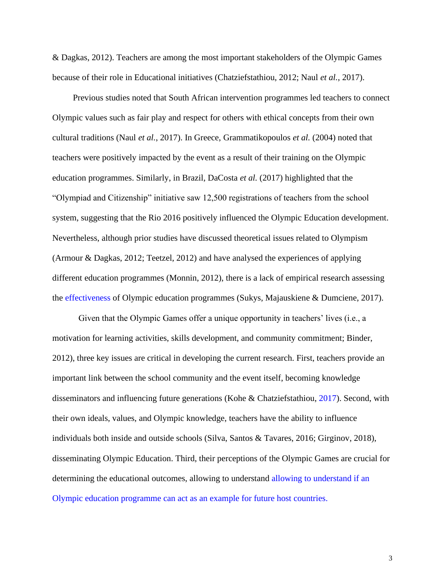& Dagkas, 2012). Teachers are among the most important stakeholders of the Olympic Games because of their role in Educational initiatives (Chatziefstathiou, 2012; Naul *et al.*, 2017).

Previous studies noted that South African intervention programmes led teachers to connect Olympic values such as fair play and respect for others with ethical concepts from their own cultural traditions (Naul *et al.*, 2017). In Greece, Grammatikopoulos *et al.* (2004) noted that teachers were positively impacted by the event as a result of their training on the Olympic education programmes. Similarly, in Brazil, DaCosta *et al.* (2017) highlighted that the "Olympiad and Citizenship" initiative saw 12,500 registrations of teachers from the school system, suggesting that the Rio 2016 positively influenced the Olympic Education development. Nevertheless, although prior studies have discussed theoretical issues related to Olympism (Armour & Dagkas, 2012; Teetzel, 2012) and have analysed the experiences of applying different education programmes (Monnin, 2012), there is a lack of empirical research assessing the effectiveness of Olympic education programmes (Sukys, Majauskiene & Dumciene, 2017).

Given that the Olympic Games offer a unique opportunity in teachers' lives (i.e., a motivation for learning activities, skills development, and community commitment; Binder, 2012), three key issues are critical in developing the current research. First, teachers provide an important link between the school community and the event itself, becoming knowledge disseminators and influencing future generations (Kohe & Chatziefstathiou, 2017). Second, with their own ideals, values, and Olympic knowledge, teachers have the ability to influence individuals both inside and outside schools (Silva, Santos & Tavares, 2016; Girginov, 2018), disseminating Olympic Education. Third, their perceptions of the Olympic Games are crucial for determining the educational outcomes, allowing to understand allowing to understand if an Olympic education programme can act as an example for future host countries.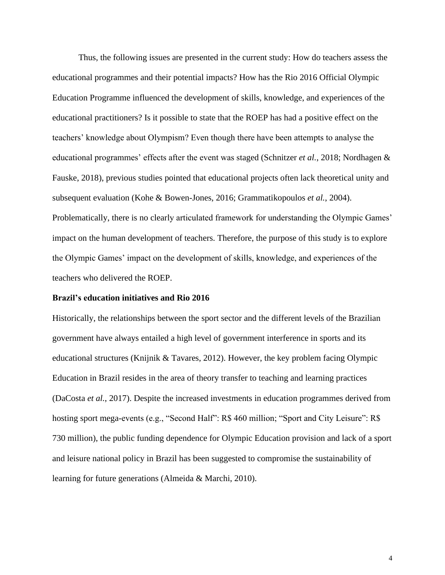Thus, the following issues are presented in the current study: How do teachers assess the educational programmes and their potential impacts? How has the Rio 2016 Official Olympic Education Programme influenced the development of skills, knowledge, and experiences of the educational practitioners? Is it possible to state that the ROEP has had a positive effect on the teachers' knowledge about Olympism? Even though there have been attempts to analyse the educational programmes' effects after the event was staged (Schnitzer *et al.*, 2018; Nordhagen & Fauske, 2018), previous studies pointed that educational projects often lack theoretical unity and subsequent evaluation (Kohe & Bowen-Jones, 2016; Grammatikopoulos *et al.*, 2004). Problematically, there is no clearly articulated framework for understanding the Olympic Games' impact on the human development of teachers. Therefore, the purpose of this study is to explore the Olympic Games' impact on the development of skills, knowledge, and experiences of the teachers who delivered the ROEP.

## **Brazil's education initiatives and Rio 2016**

Historically, the relationships between the sport sector and the different levels of the Brazilian government have always entailed a high level of government interference in sports and its educational structures (Knijnik & Tavares, 2012). However, the key problem facing Olympic Education in Brazil resides in the area of theory transfer to teaching and learning practices (DaCosta *et al.*, 2017). Despite the increased investments in education programmes derived from hosting sport mega-events (e.g., "Second Half": R\$ 460 million; "Sport and City Leisure": R\$ 730 million), the public funding dependence for Olympic Education provision and lack of a sport and leisure national policy in Brazil has been suggested to compromise the sustainability of learning for future generations (Almeida & Marchi, 2010).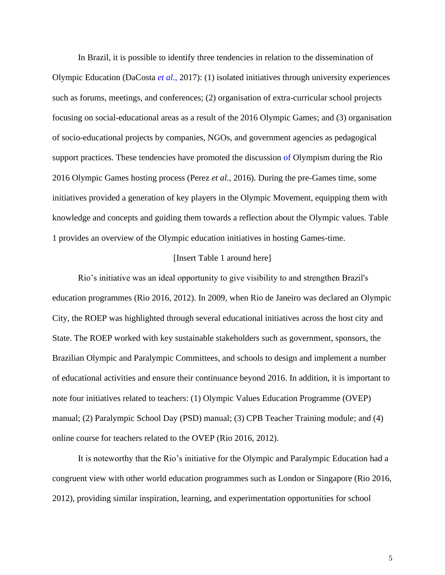In Brazil, it is possible to identify three tendencies in relation to the dissemination of Olympic Education (DaCosta *et al.*, 2017): (1) isolated initiatives through university experiences such as forums, meetings, and conferences; (2) organisation of extra-curricular school projects focusing on social-educational areas as a result of the 2016 Olympic Games; and (3) organisation of socio-educational projects by companies, NGOs, and government agencies as pedagogical support practices. These tendencies have promoted the discussion of Olympism during the Rio 2016 Olympic Games hosting process (Perez *et al.*, 2016). During the pre-Games time, some initiatives provided a generation of key players in the Olympic Movement, equipping them with knowledge and concepts and guiding them towards a reflection about the Olympic values. Table 1 provides an overview of the Olympic education initiatives in hosting Games-time.

### [Insert Table 1 around here]

Rio's initiative was an ideal opportunity to give visibility to and strengthen Brazil's education programmes (Rio 2016, 2012). In 2009, when Rio de Janeiro was declared an Olympic City, the ROEP was highlighted through several educational initiatives across the host city and State. The ROEP worked with key sustainable stakeholders such as government, sponsors, the Brazilian Olympic and Paralympic Committees, and schools to design and implement a number of educational activities and ensure their continuance beyond 2016. In addition, it is important to note four initiatives related to teachers: (1) Olympic Values Education Programme (OVEP) manual; (2) Paralympic School Day (PSD) manual; (3) CPB Teacher Training module; and (4) online course for teachers related to the OVEP (Rio 2016, 2012).

It is noteworthy that the Rio's initiative for the Olympic and Paralympic Education had a congruent view with other world education programmes such as London or Singapore (Rio 2016, 2012), providing similar inspiration, learning, and experimentation opportunities for school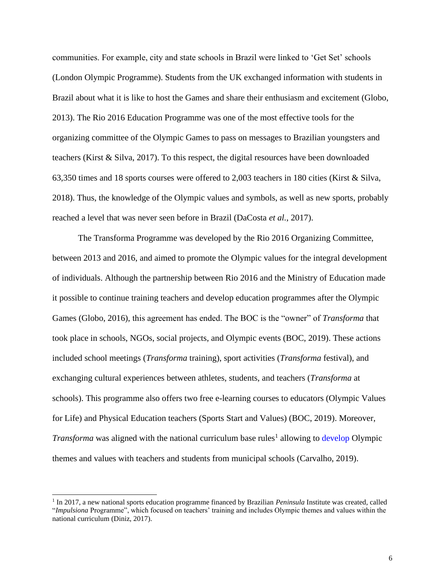communities. For example, city and state schools in Brazil were linked to 'Get Set' schools (London Olympic Programme). Students from the UK exchanged information with students in Brazil about what it is like to host the Games and share their enthusiasm and excitement (Globo, 2013). The Rio 2016 Education Programme was one of the most effective tools for the organizing committee of the Olympic Games to pass on messages to Brazilian youngsters and teachers (Kirst & Silva, 2017). To this respect, the digital resources have been downloaded 63,350 times and 18 sports courses were offered to 2,003 teachers in 180 cities (Kirst & Silva, 2018). Thus, the knowledge of the Olympic values and symbols, as well as new sports, probably reached a level that was never seen before in Brazil (DaCosta *et al.*, 2017).

The Transforma Programme was developed by the Rio 2016 Organizing Committee, between 2013 and 2016, and aimed to promote the Olympic values for the integral development of individuals. Although the partnership between Rio 2016 and the Ministry of Education made it possible to continue training teachers and develop education programmes after the Olympic Games (Globo, 2016), this agreement has ended. The BOC is the "owner" of *Transforma* that took place in schools, NGOs, social projects, and Olympic events (BOC, 2019). These actions included school meetings (*Transforma* training), sport activities (*Transforma* festival), and exchanging cultural experiences between athletes, students, and teachers (*Transforma* at schools). This programme also offers two free e-learning courses to educators (Olympic Values for Life) and Physical Education teachers (Sports Start and Values) (BOC, 2019). Moreover, *Transforma* was aligned with the national curriculum base rules<sup>1</sup> allowing to develop Olympic themes and values with teachers and students from municipal schools (Carvalho, 2019).

<sup>&</sup>lt;sup>1</sup> In 2017, a new national sports education programme financed by Brazilian *Peninsula* Institute was created, called "*Impulsiona* Programme", which focused on teachers' training and includes Olympic themes and values within the national curriculum (Diniz, 2017).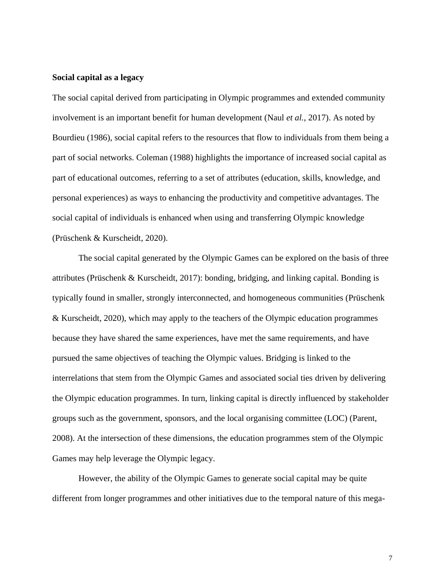## **Social capital as a legacy**

The social capital derived from participating in Olympic programmes and extended community involvement is an important benefit for human development (Naul *et al.*, 2017). As noted by Bourdieu (1986), social capital refers to the resources that flow to individuals from them being a part of social networks. Coleman (1988) highlights the importance of increased social capital as part of educational outcomes, referring to a set of attributes (education, skills, knowledge, and personal experiences) as ways to enhancing the productivity and competitive advantages. The social capital of individuals is enhanced when using and transferring Olympic knowledge (Prüschenk & Kurscheidt, 2020).

The social capital generated by the Olympic Games can be explored on the basis of three attributes (Prüschenk & Kurscheidt, 2017): bonding, bridging, and linking capital. Bonding is typically found in smaller, strongly interconnected, and homogeneous communities (Prüschenk & Kurscheidt, 2020), which may apply to the teachers of the Olympic education programmes because they have shared the same experiences, have met the same requirements, and have pursued the same objectives of teaching the Olympic values. Bridging is linked to the interrelations that stem from the Olympic Games and associated social ties driven by delivering the Olympic education programmes. In turn, linking capital is directly influenced by stakeholder groups such as the government, sponsors, and the local organising committee (LOC) (Parent, 2008). At the intersection of these dimensions, the education programmes stem of the Olympic Games may help leverage the Olympic legacy.

However, the ability of the Olympic Games to generate social capital may be quite different from longer programmes and other initiatives due to the temporal nature of this mega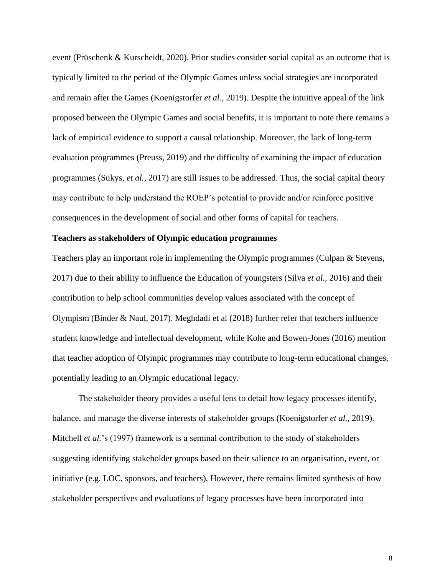event (Prüschenk & Kurscheidt, 2020). Prior studies consider social capital as an outcome that is typically limited to the period of the Olympic Games unless social strategies are incorporated and remain after the Games (Koenigstorfer *et al.*, 2019). Despite the intuitive appeal of the link proposed between the Olympic Games and social benefits, it is important to note there remains a lack of empirical evidence to support a causal relationship. Moreover, the lack of long-term evaluation programmes (Preuss, 2019) and the difficulty of examining the impact of education programmes (Sukys, *et al.*, 2017) are still issues to be addressed. Thus, the social capital theory may contribute to help understand the ROEP's potential to provide and/or reinforce positive consequences in the development of social and other forms of capital for teachers.

### **Teachers as stakeholders of Olympic education programmes**

Teachers play an important role in implementing the Olympic programmes (Culpan & Stevens, 2017) due to their ability to influence the Education of youngsters (Silva *et al.*, 2016) and their contribution to help school communities develop values associated with the concept of Olympism (Binder & Naul, 2017). Meghdadi et al (2018) further refer that teachers influence student knowledge and intellectual development, while Kohe and Bowen-Jones (2016) mention that teacher adoption of Olympic programmes may contribute to long-term educational changes, potentially leading to an Olympic educational legacy.

The stakeholder theory provides a useful lens to detail how legacy processes identify, balance, and manage the diverse interests of stakeholder groups (Koenigstorfer *et al.*, 2019). Mitchell *et al.*'s (1997) framework is a seminal contribution to the study of stakeholders suggesting identifying stakeholder groups based on their salience to an organisation, event, or initiative (e.g. LOC, sponsors, and teachers). However, there remains limited synthesis of how stakeholder perspectives and evaluations of legacy processes have been incorporated into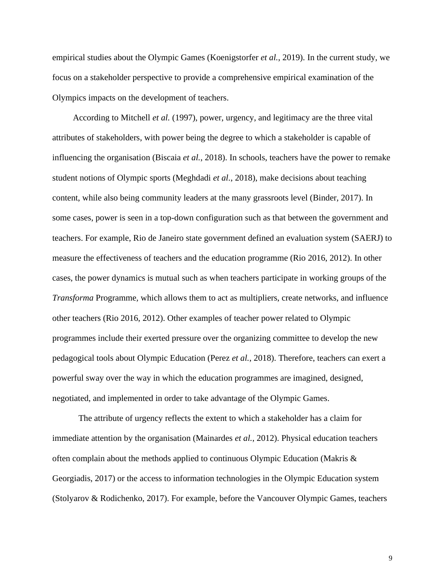empirical studies about the Olympic Games (Koenigstorfer *et al.*, 2019). In the current study, we focus on a stakeholder perspective to provide a comprehensive empirical examination of the Olympics impacts on the development of teachers.

According to Mitchell *et al.* (1997), power, urgency, and legitimacy are the three vital attributes of stakeholders, with power being the degree to which a stakeholder is capable of influencing the organisation (Biscaia *et al.*, 2018). In schools, teachers have the power to remake student notions of Olympic sports (Meghdadi *et al.*, 2018), make decisions about teaching content, while also being community leaders at the many grassroots level (Binder, 2017). In some cases, power is seen in a top-down configuration such as that between the government and teachers. For example, Rio de Janeiro state government defined an evaluation system (SAERJ) to measure the effectiveness of teachers and the education programme (Rio 2016, 2012). In other cases, the power dynamics is mutual such as when teachers participate in working groups of the *Transforma* Programme*,* which allows them to act as multipliers, create networks, and influence other teachers (Rio 2016, 2012). Other examples of teacher power related to Olympic programmes include their exerted pressure over the organizing committee to develop the new pedagogical tools about Olympic Education (Perez *et al.*, 2018). Therefore, teachers can exert a powerful sway over the way in which the education programmes are imagined, designed, negotiated, and implemented in order to take advantage of the Olympic Games.

The attribute of urgency reflects the extent to which a stakeholder has a claim for immediate attention by the organisation (Mainardes *et al.*, 2012). Physical education teachers often complain about the methods applied to continuous Olympic Education (Makris & Georgiadis, 2017) or the access to information technologies in the Olympic Education system (Stolyarov & Rodichenko, 2017). For example, before the Vancouver Olympic Games, teachers

9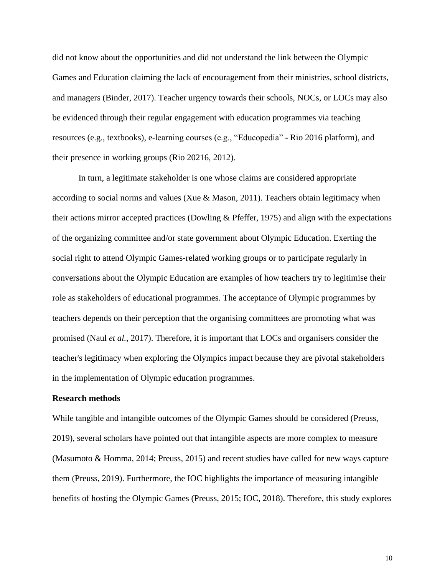did not know about the opportunities and did not understand the link between the Olympic Games and Education claiming the lack of encouragement from their ministries, school districts, and managers (Binder, 2017). Teacher urgency towards their schools, NOCs, or LOCs may also be evidenced through their regular engagement with education programmes via teaching resources (e.g., textbooks), e-learning courses (e.g., "Educopedia" - Rio 2016 platform), and their presence in working groups (Rio 20216, 2012).

In turn, a legitimate stakeholder is one whose claims are considered appropriate according to social norms and values (Xue & Mason, 2011). Teachers obtain legitimacy when their actions mirror accepted practices (Dowling & Pfeffer, 1975) and align with the expectations of the organizing committee and/or state government about Olympic Education. Exerting the social right to attend Olympic Games-related working groups or to participate regularly in conversations about the Olympic Education are examples of how teachers try to legitimise their role as stakeholders of educational programmes. The acceptance of Olympic programmes by teachers depends on their perception that the organising committees are promoting what was promised (Naul *et al.*, 2017). Therefore, it is important that LOCs and organisers consider the teacher's legitimacy when exploring the Olympics impact because they are pivotal stakeholders in the implementation of Olympic education programmes.

#### **Research methods**

While tangible and intangible outcomes of the Olympic Games should be considered (Preuss, 2019), several scholars have pointed out that intangible aspects are more complex to measure (Masumoto & Homma, 2014; Preuss, 2015) and recent studies have called for new ways capture them (Preuss, 2019). Furthermore, the IOC highlights the importance of measuring intangible benefits of hosting the Olympic Games (Preuss, 2015; IOC, 2018). Therefore, this study explores

10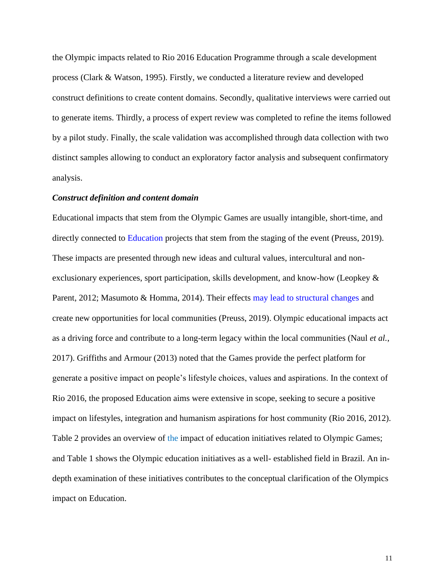the Olympic impacts related to Rio 2016 Education Programme through a scale development process (Clark & Watson, 1995). Firstly, we conducted a literature review and developed construct definitions to create content domains. Secondly, qualitative interviews were carried out to generate items. Thirdly, a process of expert review was completed to refine the items followed by a pilot study. Finally, the scale validation was accomplished through data collection with two distinct samples allowing to conduct an exploratory factor analysis and subsequent confirmatory analysis.

## *Construct definition and content domain*

Educational impacts that stem from the Olympic Games are usually intangible, short-time, and directly connected to Education projects that stem from the staging of the event (Preuss, 2019). These impacts are presented through new ideas and cultural values, intercultural and nonexclusionary experiences, sport participation, skills development, and know-how (Leopkey & Parent, 2012; Masumoto & Homma, 2014). Their effects may lead to structural changes and create new opportunities for local communities (Preuss, 2019). Olympic educational impacts act as a driving force and contribute to a long-term legacy within the local communities (Naul *et al.*, 2017). Griffiths and Armour (2013) noted that the Games provide the perfect platform for generate a positive impact on people's lifestyle choices, values and aspirations. In the context of Rio 2016, the proposed Education aims were extensive in scope, seeking to secure a positive impact on lifestyles, integration and humanism aspirations for host community (Rio 2016, 2012). Table 2 provides an overview of the impact of education initiatives related to Olympic Games; and Table 1 shows the Olympic education initiatives as a well- established field in Brazil. An indepth examination of these initiatives contributes to the conceptual clarification of the Olympics impact on Education.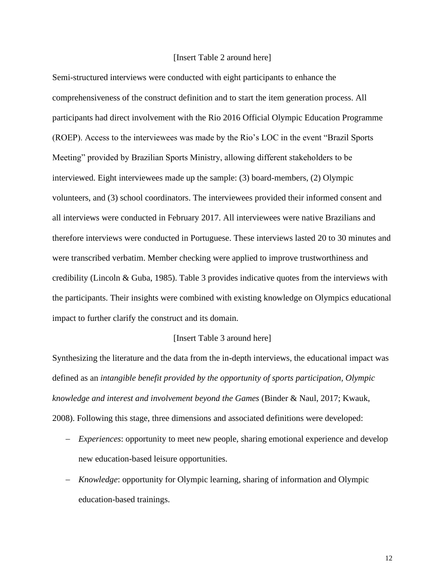### [Insert Table 2 around here]

Semi-structured interviews were conducted with eight participants to enhance the comprehensiveness of the construct definition and to start the item generation process. All participants had direct involvement with the Rio 2016 Official Olympic Education Programme (ROEP). Access to the interviewees was made by the Rio's LOC in the event "Brazil Sports Meeting" provided by Brazilian Sports Ministry, allowing different stakeholders to be interviewed. Eight interviewees made up the sample: (3) board-members, (2) Olympic volunteers, and (3) school coordinators. The interviewees provided their informed consent and all interviews were conducted in February 2017. All interviewees were native Brazilians and therefore interviews were conducted in Portuguese. These interviews lasted 20 to 30 minutes and were transcribed verbatim. Member checking were applied to improve trustworthiness and credibility (Lincoln & Guba, 1985). Table 3 provides indicative quotes from the interviews with the participants. Their insights were combined with existing knowledge on Olympics educational impact to further clarify the construct and its domain.

### [Insert Table 3 around here]

Synthesizing the literature and the data from the in-depth interviews, the educational impact was defined as an *intangible benefit provided by the opportunity of sports participation, Olympic knowledge and interest and involvement beyond the Games* (Binder & Naul, 2017; Kwauk, 2008). Following this stage, three dimensions and associated definitions were developed:

- − *Experiences*: opportunity to meet new people, sharing emotional experience and develop new education-based leisure opportunities.
- − *Knowledge*: opportunity for Olympic learning, sharing of information and Olympic education-based trainings.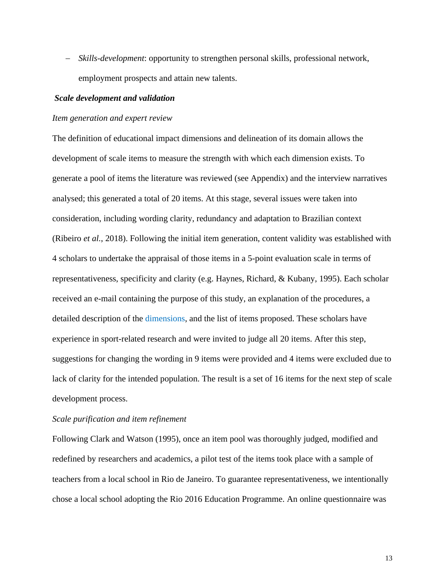− *Skills-development*: opportunity to strengthen personal skills, professional network, employment prospects and attain new talents.

## *Scale development and validation*

#### *Item generation and expert review*

The definition of educational impact dimensions and delineation of its domain allows the development of scale items to measure the strength with which each dimension exists. To generate a pool of items the literature was reviewed (see Appendix) and the interview narratives analysed; this generated a total of 20 items. At this stage, several issues were taken into consideration, including wording clarity, redundancy and adaptation to Brazilian context (Ribeiro *et al.*, 2018). Following the initial item generation, content validity was established with 4 scholars to undertake the appraisal of those items in a 5-point evaluation scale in terms of representativeness, specificity and clarity (e.g. Haynes, Richard, & Kubany, 1995). Each scholar received an e-mail containing the purpose of this study, an explanation of the procedures, a detailed description of the dimensions, and the list of items proposed. These scholars have experience in sport-related research and were invited to judge all 20 items. After this step, suggestions for changing the wording in 9 items were provided and 4 items were excluded due to lack of clarity for the intended population. The result is a set of 16 items for the next step of scale development process.

## *Scale purification and item refinement*

Following Clark and Watson (1995), once an item pool was thoroughly judged, modified and redefined by researchers and academics, a pilot test of the items took place with a sample of teachers from a local school in Rio de Janeiro. To guarantee representativeness, we intentionally chose a local school adopting the Rio 2016 Education Programme. An online questionnaire was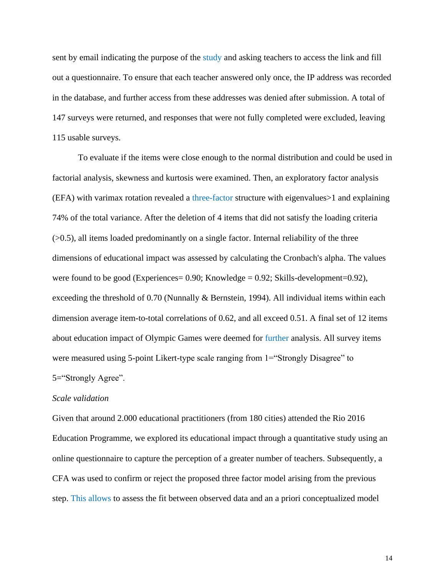sent by email indicating the purpose of the study and asking teachers to access the link and fill out a questionnaire. To ensure that each teacher answered only once, the IP address was recorded in the database, and further access from these addresses was denied after submission. A total of 147 surveys were returned, and responses that were not fully completed were excluded, leaving 115 usable surveys.

To evaluate if the items were close enough to the normal distribution and could be used in factorial analysis, skewness and kurtosis were examined. Then, an exploratory factor analysis (EFA) with varimax rotation revealed a three-factor structure with eigenvalues>1 and explaining 74% of the total variance. After the deletion of 4 items that did not satisfy the loading criteria  $(0.5)$ , all items loaded predominantly on a single factor. Internal reliability of the three dimensions of educational impact was assessed by calculating the Cronbach's alpha. The values were found to be good (Experiences =  $0.90$ ; Knowledge =  $0.92$ ; Skills-development =  $0.92$ ), exceeding the threshold of 0.70 (Nunnally & Bernstein, 1994). All individual items within each dimension average item-to-total correlations of 0.62, and all exceed 0.51. A final set of 12 items about education impact of Olympic Games were deemed for further analysis. All survey items were measured using 5-point Likert-type scale ranging from 1="Strongly Disagree" to 5="Strongly Agree".

## *Scale validation*

Given that around 2.000 educational practitioners (from 180 cities) attended the Rio 2016 Education Programme, we explored its educational impact through a quantitative study using an online questionnaire to capture the perception of a greater number of teachers. Subsequently, a CFA was used to confirm or reject the proposed three factor model arising from the previous step. This allows to assess the fit between observed data and an a priori conceptualized model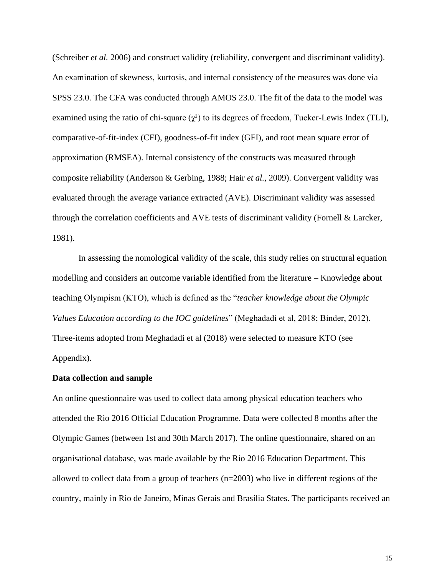(Schreiber *et al.* 2006) and construct validity (reliability, convergent and discriminant validity). An examination of skewness, kurtosis, and internal consistency of the measures was done via SPSS 23.0. The CFA was conducted through AMOS 23.0. The fit of the data to the model was examined using the ratio of chi-square  $(\chi^2)$  to its degrees of freedom, Tucker-Lewis Index (TLI), comparative-of-fit-index (CFI), goodness-of-fit index (GFI), and root mean square error of approximation (RMSEA). Internal consistency of the constructs was measured through composite reliability (Anderson & Gerbing, 1988; Hair *et al.*, 2009). Convergent validity was evaluated through the average variance extracted (AVE). Discriminant validity was assessed through the correlation coefficients and AVE tests of discriminant validity (Fornell & Larcker, 1981).

In assessing the nomological validity of the scale, this study relies on structural equation modelling and considers an outcome variable identified from the literature – Knowledge about teaching Olympism (KTO), which is defined as the "*teacher knowledge about the Olympic Values Education according to the IOC guidelines*" (Meghadadi et al, 2018; Binder, 2012). Three-items adopted from Meghadadi et al (2018) were selected to measure KTO (see Appendix).

## **Data collection and sample**

An online questionnaire was used to collect data among physical education teachers who attended the Rio 2016 Official Education Programme. Data were collected 8 months after the Olympic Games (between 1st and 30th March 2017). The online questionnaire, shared on an organisational database, was made available by the Rio 2016 Education Department. This allowed to collect data from a group of teachers (n=2003) who live in different regions of the country, mainly in Rio de Janeiro, Minas Gerais and Brasília States. The participants received an

15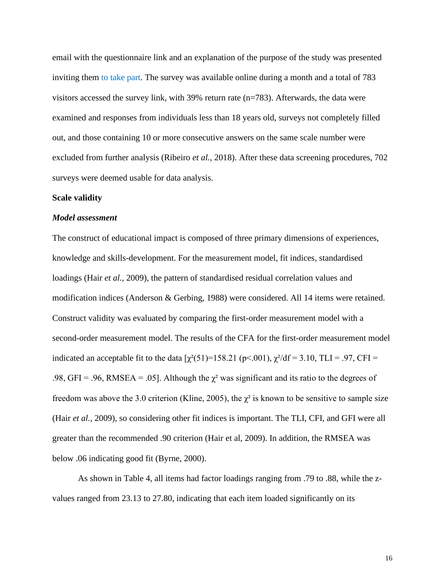email with the questionnaire link and an explanation of the purpose of the study was presented inviting them to take part. The survey was available online during a month and a total of 783 visitors accessed the survey link, with 39% return rate (n=783). Afterwards, the data were examined and responses from individuals less than 18 years old, surveys not completely filled out, and those containing 10 or more consecutive answers on the same scale number were excluded from further analysis (Ribeiro *et al.*, 2018). After these data screening procedures, 702 surveys were deemed usable for data analysis.

## **Scale validity**

#### *Model assessment*

The construct of educational impact is composed of three primary dimensions of experiences, knowledge and skills-development. For the measurement model, fit indices, standardised loadings (Hair *et al.*, 2009), the pattern of standardised residual correlation values and modification indices (Anderson & Gerbing, 1988) were considered. All 14 items were retained. Construct validity was evaluated by comparing the first-order measurement model with a second-order measurement model. The results of the CFA for the first-order measurement model indicated an acceptable fit to the data  $[\chi^2(51)=158.21 \text{ (p} < .001), \chi^2/\text{df} = 3.10, \text{TLI} = .97, \text{CFI} =$ .98, GFI = .96, RMSEA = .05]. Although the  $\chi^2$  was significant and its ratio to the degrees of freedom was above the 3.0 criterion (Kline, 2005), the  $\chi^2$  is known to be sensitive to sample size (Hair *et al.*, 2009), so considering other fit indices is important. The TLI, CFI, and GFI were all greater than the recommended .90 criterion (Hair et al, 2009). In addition, the RMSEA was below .06 indicating good fit (Byrne, 2000).

As shown in Table 4, all items had factor loadings ranging from .79 to .88, while the zvalues ranged from 23.13 to 27.80, indicating that each item loaded significantly on its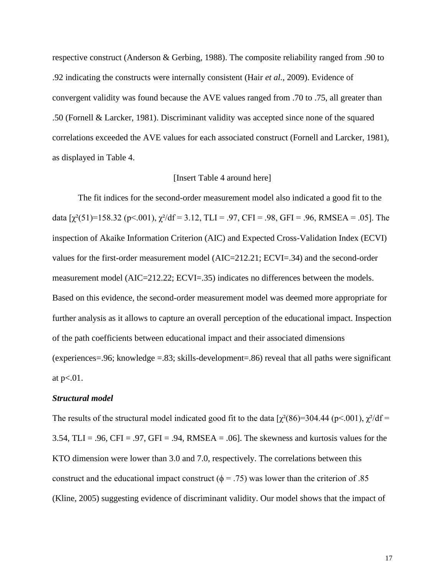respective construct (Anderson & Gerbing, 1988). The composite reliability ranged from .90 to .92 indicating the constructs were internally consistent (Hair *et al.*, 2009). Evidence of convergent validity was found because the AVE values ranged from .70 to .75, all greater than .50 (Fornell & Larcker, 1981). Discriminant validity was accepted since none of the squared correlations exceeded the AVE values for each associated construct (Fornell and Larcker, 1981), as displayed in Table 4.

## [Insert Table 4 around here]

The fit indices for the second-order measurement model also indicated a good fit to the data  $\lceil \chi^2(51) = 158.32$  (p<.001),  $\chi^2/df = 3.12$ , TLI = .97, CFI = .98, GFI = .96, RMSEA = .05]. The inspection of Akaike Information Criterion (AIC) and Expected Cross-Validation Index (ECVI) values for the first-order measurement model (AIC=212.21; ECVI=.34) and the second-order measurement model (AIC=212.22; ECVI=.35) indicates no differences between the models. Based on this evidence, the second-order measurement model was deemed more appropriate for further analysis as it allows to capture an overall perception of the educational impact. Inspection of the path coefficients between educational impact and their associated dimensions (experiences=.96; knowledge =.83; skills-development=.86) reveal that all paths were significant at  $p<.01$ .

### *Structural model*

The results of the structural model indicated good fit to the data  $[\chi^2(86)=304.44$  (p<.001),  $\chi^2/df$ 3.54, TLI = .96, CFI = .97, GFI = .94, RMSEA = .06]. The skewness and kurtosis values for the KTO dimension were lower than 3.0 and 7.0, respectively. The correlations between this construct and the educational impact construct ( $\phi = .75$ ) was lower than the criterion of .85 (Kline, 2005) suggesting evidence of discriminant validity. Our model shows that the impact of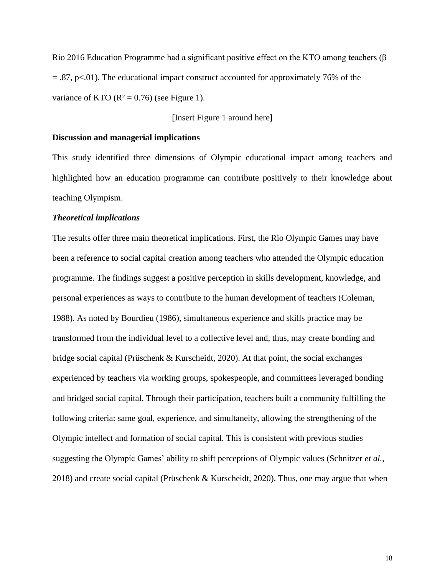Rio 2016 Education Programme had a significant positive effect on the KTO among teachers ( $\beta$ )  $= 0.87$ , p $\lt 0.01$ ). The educational impact construct accounted for approximately 76% of the variance of KTO ( $R^2 = 0.76$ ) (see Figure 1).

[Insert Figure 1 around here]

### **Discussion and managerial implications**

This study identified three dimensions of Olympic educational impact among teachers and highlighted how an education programme can contribute positively to their knowledge about teaching Olympism.

## *Theoretical implications*

The results offer three main theoretical implications. First, the Rio Olympic Games may have been a reference to social capital creation among teachers who attended the Olympic education programme. The findings suggest a positive perception in skills development, knowledge, and personal experiences as ways to contribute to the human development of teachers (Coleman, 1988). As noted by Bourdieu (1986), simultaneous experience and skills practice may be transformed from the individual level to a collective level and, thus, may create bonding and bridge social capital (Prüschenk & Kurscheidt, 2020). At that point, the social exchanges experienced by teachers via working groups, spokespeople, and committees leveraged bonding and bridged social capital. Through their participation, teachers built a community fulfilling the following criteria: same goal, experience, and simultaneity, allowing the strengthening of the Olympic intellect and formation of social capital. This is consistent with previous studies suggesting the Olympic Games' ability to shift perceptions of Olympic values (Schnitzer *et al.*, 2018) and create social capital (Prüschenk & Kurscheidt, 2020). Thus, one may argue that when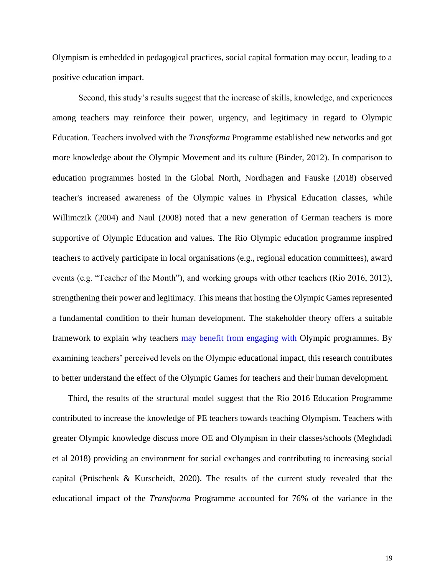Olympism is embedded in pedagogical practices, social capital formation may occur, leading to a positive education impact.

Second, this study's results suggest that the increase of skills, knowledge, and experiences among teachers may reinforce their power, urgency, and legitimacy in regard to Olympic Education. Teachers involved with the *Transforma* Programme established new networks and got more knowledge about the Olympic Movement and its culture (Binder, 2012). In comparison to education programmes hosted in the Global North, Nordhagen and Fauske (2018) observed teacher's increased awareness of the Olympic values in Physical Education classes, while Willimczik (2004) and Naul (2008) noted that a new generation of German teachers is more supportive of Olympic Education and values. The Rio Olympic education programme inspired teachers to actively participate in local organisations (e.g., regional education committees), award events (e.g. "Teacher of the Month"), and working groups with other teachers (Rio 2016, 2012), strengthening their power and legitimacy. This means that hosting the Olympic Games represented a fundamental condition to their human development. The stakeholder theory offers a suitable framework to explain why teachers may benefit from engaging with Olympic programmes. By examining teachers' perceived levels on the Olympic educational impact, this research contributes to better understand the effect of the Olympic Games for teachers and their human development.

Third, the results of the structural model suggest that the Rio 2016 Education Programme contributed to increase the knowledge of PE teachers towards teaching Olympism. Teachers with greater Olympic knowledge discuss more OE and Olympism in their classes/schools (Meghdadi et al 2018) providing an environment for social exchanges and contributing to increasing social capital (Prüschenk & Kurscheidt, 2020). The results of the current study revealed that the educational impact of the *Transforma* Programme accounted for 76% of the variance in the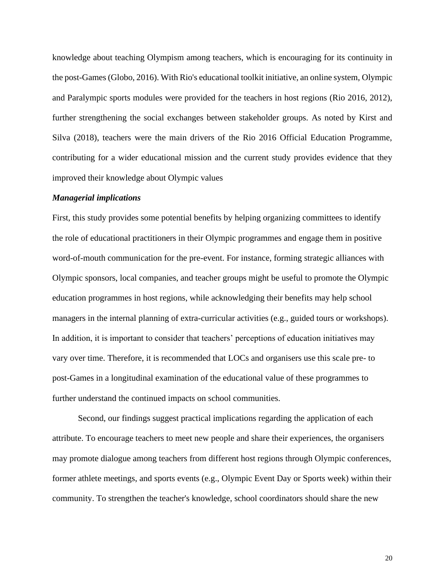knowledge about teaching Olympism among teachers, which is encouraging for its continuity in the post-Games (Globo, 2016). With Rio's educational toolkit initiative, an online system, Olympic and Paralympic sports modules were provided for the teachers in host regions (Rio 2016, 2012), further strengthening the social exchanges between stakeholder groups. As noted by Kirst and Silva (2018), teachers were the main drivers of the Rio 2016 Official Education Programme, contributing for a wider educational mission and the current study provides evidence that they improved their knowledge about Olympic values

## *Managerial implications*

First, this study provides some potential benefits by helping organizing committees to identify the role of educational practitioners in their Olympic programmes and engage them in positive word-of-mouth communication for the pre-event. For instance, forming strategic alliances with Olympic sponsors, local companies, and teacher groups might be useful to promote the Olympic education programmes in host regions, while acknowledging their benefits may help school managers in the internal planning of extra-curricular activities (e.g., guided tours or workshops). In addition, it is important to consider that teachers' perceptions of education initiatives may vary over time. Therefore, it is recommended that LOCs and organisers use this scale pre- to post-Games in a longitudinal examination of the educational value of these programmes to further understand the continued impacts on school communities.

Second, our findings suggest practical implications regarding the application of each attribute. To encourage teachers to meet new people and share their experiences, the organisers may promote dialogue among teachers from different host regions through Olympic conferences, former athlete meetings, and sports events (e.g., Olympic Event Day or Sports week) within their community. To strengthen the teacher's knowledge, school coordinators should share the new

20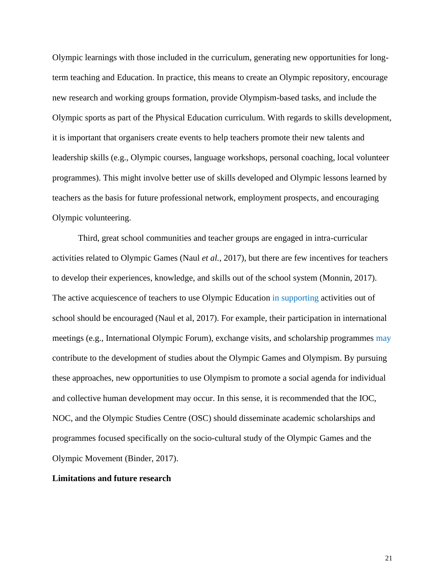Olympic learnings with those included in the curriculum, generating new opportunities for longterm teaching and Education. In practice, this means to create an Olympic repository, encourage new research and working groups formation, provide Olympism-based tasks, and include the Olympic sports as part of the Physical Education curriculum. With regards to skills development, it is important that organisers create events to help teachers promote their new talents and leadership skills (e.g., Olympic courses, language workshops, personal coaching, local volunteer programmes). This might involve better use of skills developed and Olympic lessons learned by teachers as the basis for future professional network, employment prospects, and encouraging Olympic volunteering.

Third, great school communities and teacher groups are engaged in intra-curricular activities related to Olympic Games (Naul *et al.*, 2017), but there are few incentives for teachers to develop their experiences, knowledge, and skills out of the school system (Monnin, 2017). The active acquiescence of teachers to use Olympic Education in supporting activities out of school should be encouraged (Naul et al, 2017). For example, their participation in international meetings (e.g., International Olympic Forum), exchange visits, and scholarship programmes may contribute to the development of studies about the Olympic Games and Olympism. By pursuing these approaches, new opportunities to use Olympism to promote a social agenda for individual and collective human development may occur. In this sense, it is recommended that the IOC, NOC, and the Olympic Studies Centre (OSC) should disseminate academic scholarships and programmes focused specifically on the socio-cultural study of the Olympic Games and the Olympic Movement (Binder, 2017).

## **Limitations and future research**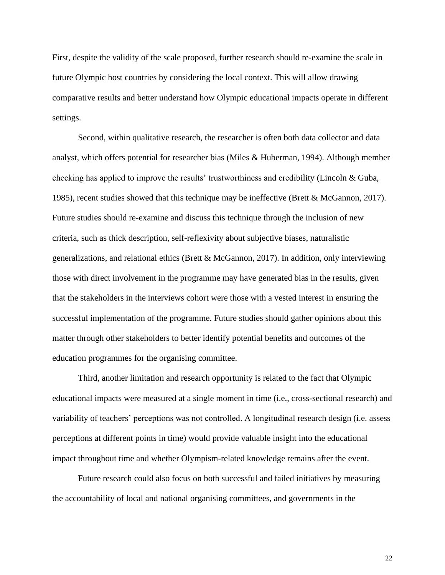First, despite the validity of the scale proposed, further research should re-examine the scale in future Olympic host countries by considering the local context. This will allow drawing comparative results and better understand how Olympic educational impacts operate in different settings.

Second, within qualitative research, the researcher is often both data collector and data analyst, which offers potential for researcher bias (Miles & Huberman, 1994). Although member checking has applied to improve the results' trustworthiness and credibility (Lincoln & Guba, 1985), recent studies showed that this technique may be ineffective (Brett & McGannon, 2017). Future studies should re-examine and discuss this technique through the inclusion of new criteria, such as thick description, self-reflexivity about subjective biases, naturalistic generalizations, and relational ethics (Brett & McGannon, 2017). In addition, only interviewing those with direct involvement in the programme may have generated bias in the results, given that the stakeholders in the interviews cohort were those with a vested interest in ensuring the successful implementation of the programme. Future studies should gather opinions about this matter through other stakeholders to better identify potential benefits and outcomes of the education programmes for the organising committee.

Third, another limitation and research opportunity is related to the fact that Olympic educational impacts were measured at a single moment in time (i.e., cross-sectional research) and variability of teachers' perceptions was not controlled. A longitudinal research design (i.e. assess perceptions at different points in time) would provide valuable insight into the educational impact throughout time and whether Olympism-related knowledge remains after the event.

Future research could also focus on both successful and failed initiatives by measuring the accountability of local and national organising committees, and governments in the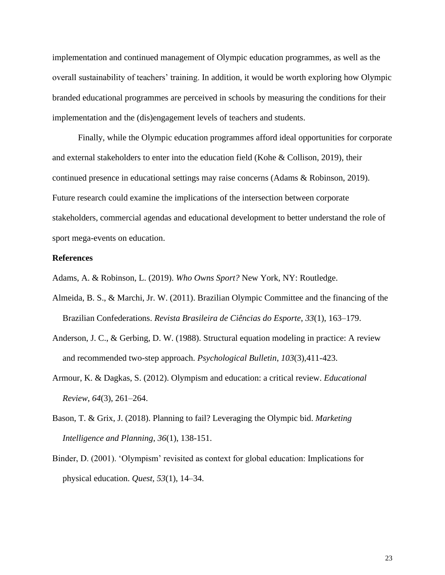implementation and continued management of Olympic education programmes, as well as the overall sustainability of teachers' training. In addition, it would be worth exploring how Olympic branded educational programmes are perceived in schools by measuring the conditions for their implementation and the (dis)engagement levels of teachers and students.

Finally, while the Olympic education programmes afford ideal opportunities for corporate and external stakeholders to enter into the education field (Kohe & Collison, 2019), their continued presence in educational settings may raise concerns (Adams & Robinson, 2019). Future research could examine the implications of the intersection between corporate stakeholders, commercial agendas and educational development to better understand the role of sport mega-events on education.

## **References**

Adams, A. & Robinson, L. (2019). *Who Owns Sport?* New York, NY: Routledge.

- Almeida, B. S., & Marchi, Jr. W. (2011). Brazilian Olympic Committee and the financing of the Brazilian Confederations. *Revista Brasileira de Ciências do Esporte*, *33*(1), 163–179.
- Anderson, J. C., & Gerbing, D. W. (1988). Structural equation modeling in practice: A review and recommended two-step approach. *Psychological Bulletin*, *103*(3),411-423.
- Armour, K. & Dagkas, S. (2012). Olympism and education: a critical review. *Educational Review*, *64*(3), 261–264.
- Bason, T. & Grix, J. (2018). Planning to fail? Leveraging the Olympic bid. *Marketing Intelligence and Planning*, *36*(1), 138-151.
- Binder, D. (2001). 'Olympism' revisited as context for global education: Implications for physical education. *Quest, 53*(1), 14–34.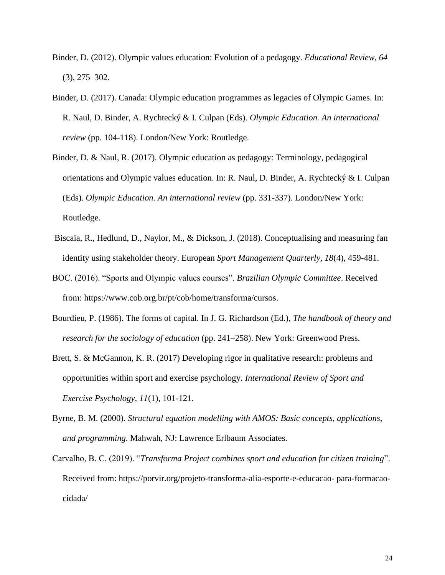- Binder, D. (2012). Olympic values education: Evolution of a pedagogy. *Educational Review, 64* (3), 275–302.
- Binder, D. (2017). Canada: Olympic education programmes as legacies of Olympic Games. In: R. Naul, D. Binder, A. Rychtecký & I. Culpan (Eds). *Olympic Education. An international review* (pp. 104-118). London/New York: Routledge.
- Binder, D. & Naul, R. (2017). Olympic education as pedagogy: Terminology, pedagogical orientations and Olympic values education. In: R. Naul, D. Binder, A. Rychtecký & I. Culpan (Eds). *Olympic Education. An international review* (pp. 331-337). London/New York: Routledge.
- Biscaia, R., Hedlund, D., Naylor, M., & Dickson, J. (2018). Conceptualising and measuring fan identity using stakeholder theory. European *Sport Management Quarterly, 18*(4), 459-481.
- BOC. (2016). "Sports and Olympic values courses". *Brazilian Olympic Committee*. Received from: [https://www.cob.org.br/pt/cob/home/transforma/cursos.](https://www.cob.org.br/pt/cob/home/transforma/cursos)
- Bourdieu, P. (1986). The forms of capital. In J. G. Richardson (Ed.), *The handbook of theory and research for the sociology of education* (pp. 241–258). New York: Greenwood Press.
- Brett, S. & McGannon, K. R. (2017) Developing rigor in qualitative research: problems and opportunities within sport and exercise psychology. *International Review of Sport and Exercise Psychology, 11*(1), 101-121.
- Byrne, B. M. (2000). *Structural equation modelling with AMOS: Basic concepts, applications, and programming*. Mahwah, NJ: Lawrence Erlbaum Associates.
- Carvalho, B. C. (2019). "*Transforma Project combines sport and education for citizen training*". Received from: https://porvir.org/projeto-transforma-alia-esporte-e-educacao- para-formacaocidada/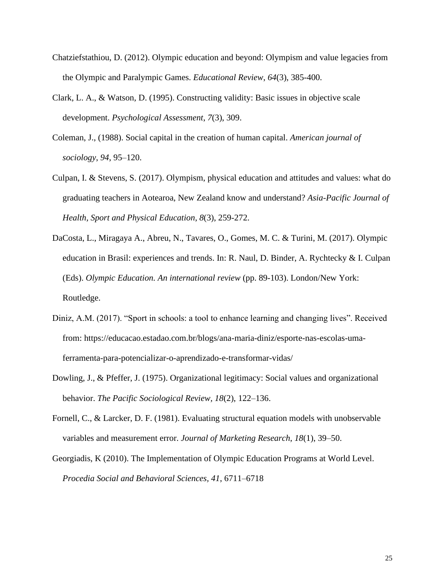- Chatziefstathiou, D. (2012). Olympic education and beyond: Olympism and value legacies from the Olympic and Paralympic Games. *Educational Review*, *64*(3), 385-400.
- Clark, L. A., & Watson, D. (1995). Constructing validity: Basic issues in objective scale development. *Psychological Assessment*, *7*(3), 309.
- Coleman, J., (1988). Social capital in the creation of human capital. *American journal of sociology*, *94*, 95–120.
- Culpan, I. & Stevens, S. (2017). Olympism, physical education and attitudes and values: what do graduating teachers in Aotearoa, New Zealand know and understand? *Asia-Pacific Journal of Health, Sport and Physical Education*, *8*(3), 259-272.
- DaCosta, L., Miragaya A., Abreu, N., Tavares, O., Gomes, M. C. & Turini, M. (2017). Olympic education in Brasil: experiences and trends. In: R. Naul, D. Binder, A. Rychtecky & I. Culpan (Eds). *Olympic Education. An international review* (pp. 89-103). London/New York: Routledge.
- Diniz, A.M. (2017). "Sport in schools: a tool to enhance learning and changing lives". Received from: [https://educacao.estadao.com.br/blogs/ana-maria-diniz/esporte-nas-escolas-uma](https://educacao.estadao.com.br/blogs/ana-maria-diniz/esporte-nas-escolas-uma-ferramenta-para-potencializar-o-aprendizado-e-transformar-vidas/)[ferramenta-para-potencializar-o-aprendizado-e-transformar-vidas/](https://educacao.estadao.com.br/blogs/ana-maria-diniz/esporte-nas-escolas-uma-ferramenta-para-potencializar-o-aprendizado-e-transformar-vidas/)
- Dowling, J., & Pfeffer, J. (1975). Organizational legitimacy: Social values and organizational behavior. *The Pacific Sociological Review, 18*(2), 122–136.
- Fornell, C., & Larcker, D. F. (1981). Evaluating structural equation models with unobservable variables and measurement error. *Journal of Marketing Research*, *18*(1), 39–50.
- Georgiadis, K (2010). The Implementation of Olympic Education Programs at World Level. *Procedia Social and Behavioral Sciences, 41*, 6711–6718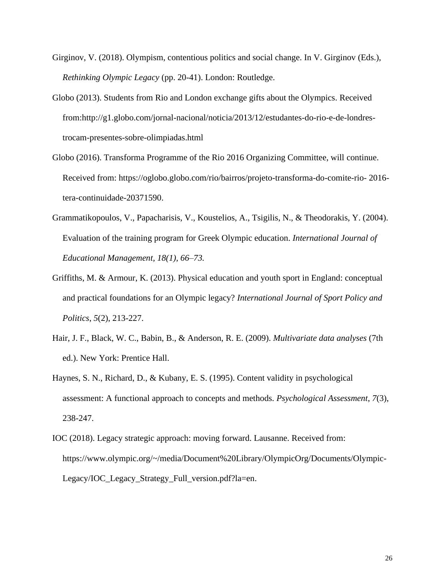- Girginov, V. (2018). Olympism, contentious politics and social change. In V. Girginov (Eds.), *Rethinking Olympic Legacy* (pp. 20-41). London: Routledge.
- Globo (2013). Students from Rio and London exchange gifts about the Olympics. Received from:[http://g1.globo.com/jornal-nacional/noticia/2013/12/estudantes-do-rio-e-de-londres](http://g1.globo.com/jornal-nacional/noticia/2013/12/estudantes-do-rio-e-de-londres-trocam-presentes-sobre-olimpiadas.html)[trocam-presentes-sobre-olimpiadas.html](http://g1.globo.com/jornal-nacional/noticia/2013/12/estudantes-do-rio-e-de-londres-trocam-presentes-sobre-olimpiadas.html)
- Globo (2016). Transforma Programme of the Rio 2016 Organizing Committee, will continue. Received from: [https://oglobo.globo.com/rio/bairros/projeto-transforma-do-comite-rio-](https://oglobo.globo.com/rio/bairros/projeto-transforma-do-comite-rio-2016-tera-continuidade-20371590) 2016 [tera-continuidade-20371590.](https://oglobo.globo.com/rio/bairros/projeto-transforma-do-comite-rio-2016-tera-continuidade-20371590)
- Grammatikopoulos, V., Papacharisis, V., Koustelios, A., Tsigilis, N., & Theodorakis, Y. (2004). Evaluation of the training program for Greek Olympic education. *International Journal of Educational Management, 18(1), 66–73.*
- Griffiths, M. & Armour, K. (2013). Physical education and youth sport in England: conceptual and practical foundations for an Olympic legacy? *International Journal of Sport Policy and Politics*, *5*(2), 213-227.
- Hair, J. F., Black, W. C., Babin, B., & Anderson, R. E. (2009). *Multivariate data analyses* (7th ed.). New York: Prentice Hall.
- Haynes, S. N., Richard, D., & Kubany, E. S. (1995). Content validity in psychological assessment: A functional approach to concepts and methods. *Psychological Assessment*, *7*(3), 238-247.
- IOC (2018). Legacy strategic approach: moving forward. Lausanne. Received from: [https://www.olympic.org/~/media/Document%20Library/OlympicOrg/Documents/Olympic-](https://www.olympic.org/~/media/Document%20Library/OlympicOrg/Documents/Olympic-Legacy/IOC_Legacy_Strategy_Full_version.pdf?la=en)[Legacy/IOC\\_Legacy\\_Strategy\\_Full\\_version.pdf?la=en.](https://www.olympic.org/~/media/Document%20Library/OlympicOrg/Documents/Olympic-Legacy/IOC_Legacy_Strategy_Full_version.pdf?la=en)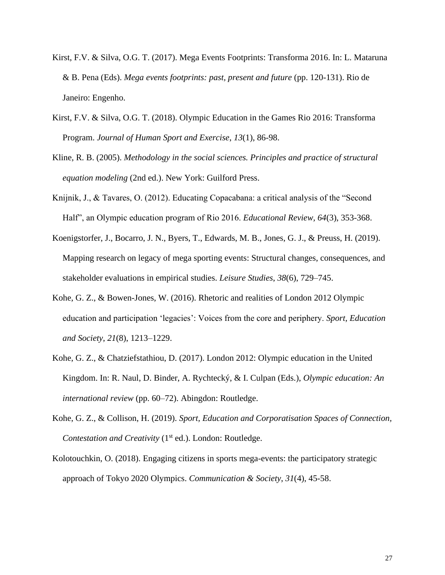- Kirst, F.V. & Silva, O.G. T. (2017). Mega Events Footprints: Transforma 2016. In: L. Mataruna & B. Pena (Eds). *Mega events footprints: past, present and future* (pp. 120-131). Rio de Janeiro: Engenho.
- Kirst, F.V. & Silva, O.G. T. (2018). Olympic Education in the Games Rio 2016: Transforma Program. *Journal of Human Sport and Exercise*, *13*(1), 86-98.
- Kline, R. B. (2005). *Methodology in the social sciences. Principles and practice of structural equation modeling* (2nd ed.). New York: Guilford Press.
- Knijnik, J., & Tavares, O. (2012). Educating Copacabana: a critical analysis of the "Second Half", an Olympic education program of Rio 2016. *Educational Review, 64*(3), 353-368.
- Koenigstorfer, J., Bocarro, J. N., Byers, T., Edwards, M. B., Jones, G. J., & Preuss, H. (2019). Mapping research on legacy of mega sporting events: Structural changes, consequences, and stakeholder evaluations in empirical studies. *Leisure Studies*, *38*(6), 729–745.
- Kohe, G. Z., & Bowen-Jones, W. (2016). Rhetoric and realities of London 2012 Olympic education and participation 'legacies': Voices from the core and periphery. *Sport, Education and Society*, *21*(8), 1213–1229.
- Kohe, G. Z., & Chatziefstathiou, D. (2017). London 2012: Olympic education in the United Kingdom. In: R. Naul, D. Binder, A. Rychtecký, & I. Culpan (Eds.), *Olympic education: An international review* (pp. 60–72). Abingdon: Routledge.
- Kohe, G. Z., & Collison, H. (2019). *Sport, Education and Corporatisation Spaces of Connection, Contestation and Creativity* (1<sup>st</sup> ed.). London: Routledge.
- Kolotouchkin, O. (2018). Engaging citizens in sports mega-events: the participatory strategic approach of Tokyo 2020 Olympics. *Communication & Society*, *31*(4), 45-58.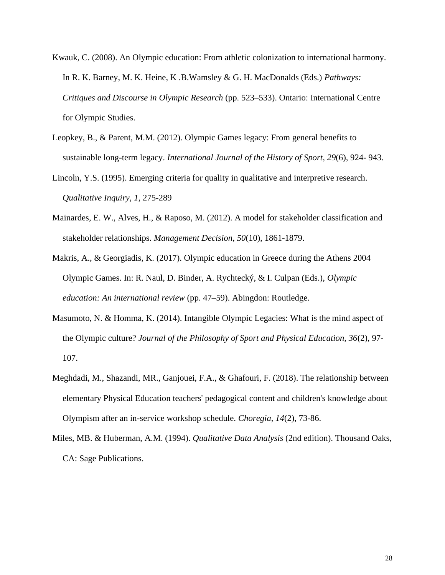- Kwauk, C. (2008). An Olympic education: From athletic colonization to international harmony. In R. K. Barney, M. K. Heine, K .B.Wamsley & G. H. MacDonalds (Eds.) *Pathways: Critiques and Discourse in Olympic Research* (pp. 523–533). Ontario: International Centre for Olympic Studies.
- Leopkey, B., & Parent, M.M. (2012). Olympic Games legacy: From general benefits to sustainable long-term legacy. *International Journal of the History of Sport*, *29*(6), 924- 943.

Lincoln, Y.S. (1995). Emerging criteria for quality in qualitative and interpretive research. *Qualitative Inquiry*, *1*, 275-289

Mainardes, E. W., Alves, H., & Raposo, M. (2012). A model for stakeholder classification and stakeholder relationships. *Management Decision*, *50*(10), 1861-1879.

Makris, A., & Georgiadis, K. (2017). Olympic education in Greece during the Athens 2004 Olympic Games. In: R. Naul, D. Binder, A. Rychtecký, & I. Culpan (Eds.), *Olympic education: An international review* (pp. 47–59). Abingdon: Routledge.

- Masumoto, N. & Homma, K. (2014). Intangible Olympic Legacies: What is the mind aspect of the Olympic culture? *Journal of the Philosophy of Sport and Physical Education, 36*(2), 97- 107.
- Meghdadi, M., Shazandi, MR., Ganjouei, F.A., & Ghafouri, F. (2018). The relationship between elementary Physical Education teachers' pedagogical content and children's knowledge about Olympism after an in-service workshop schedule. *Choregia, 14*(2), 73-86.
- Miles, MB. & Huberman, A.M. (1994). *[Qualitative Data Analysis](http://books.google.com/books?hl=en&lr=&id=U4lU_-wJ5QEC&oi=fnd&pg=PR5&sig=1dfZv8OzmYJKBRuayF2JGwG3LoQ&dq=Qualitative+Data+Analysis&prev=http://scholar.google.com/scholar%3Fq%3DQualitative%2BData%2BAnalysis%26num%3D100%26hl%3Den%26lr%3D)* (2nd edition). Thousand Oaks, CA: Sage Publications.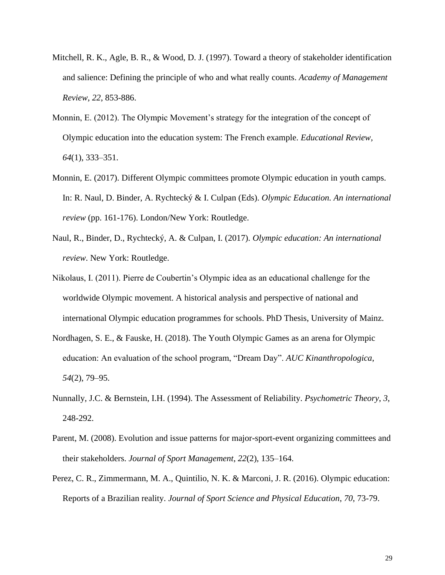- Mitchell, R. K., Agle, B. R., & Wood, D. J. (1997). Toward a theory of stakeholder identification and salience: Defining the principle of who and what really counts. *Academy of Management Review*, *22*, 853-886.
- Monnin, E. (2012). The Olympic Movement's strategy for the integration of the concept of Olympic education into the education system: The French example. *Educational Review, 64*(1), 333–351.
- Monnin, E. (2017). Different Olympic committees promote Olympic education in youth camps. In: R. Naul, D. Binder, A. Rychtecký & I. Culpan (Eds). *Olympic Education. An international review* (pp. 161-176). London/New York: Routledge.
- Naul, R., Binder, D., Rychtecký, A. & Culpan, I. (2017). *Olympic education: An international review*. New York: Routledge.
- Nikolaus, I. (2011). Pierre de Coubertin's Olympic idea as an educational challenge for the worldwide Olympic movement. A historical analysis and perspective of national and international Olympic education programmes for schools. PhD Thesis, University of Mainz.
- Nordhagen, S. E., & Fauske, H. (2018). The Youth Olympic Games as an arena for Olympic education: An evaluation of the school program, "Dream Day". *AUC Kinanthropologica*, *54*(2), 79–95.
- Nunnally, J.C. & Bernstein, I.H. (1994). The Assessment of Reliability. *Psychometric Theory*, *3*, 248-292.
- Parent, M. (2008). Evolution and issue patterns for major-sport-event organizing committees and their stakeholders. *Journal of Sport Management*, *22*(2), 135–164.
- Perez, C. R., Zimmermann, M. A., Quintilio, N. K. & Marconi, J. R. (2016). Olympic education: Reports of a Brazilian reality. *Journal of Sport Science and Physical Education*, *70*, 73-79.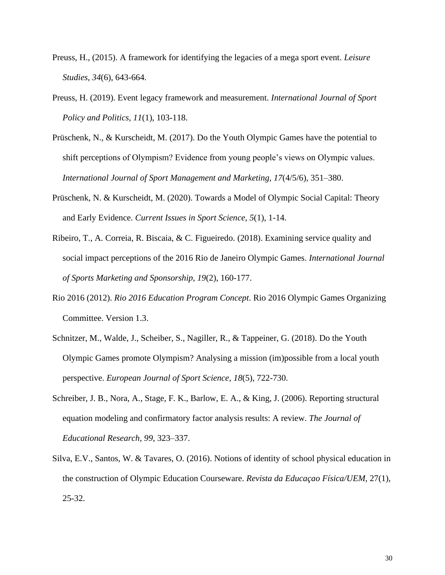- Preuss, H., (2015). A framework for identifying the legacies of a mega sport event. *Leisure Studies, 34*(6), 643-664.
- Preuss, H. (2019). Event legacy framework and measurement. *International Journal of Sport Policy and Politics, 11*(1), 103-118.
- Prüschenk, N., & Kurscheidt, M. (2017). Do the Youth Olympic Games have the potential to shift perceptions of Olympism? Evidence from young people's views on Olympic values. *International Journal of Sport Management and Marketing, 17*(4/5/6), 351–380.
- Prüschenk, N. & Kurscheidt, M. (2020). Towards a Model of Olympic Social Capital: Theory and Early Evidence. *Current Issues in Sport Science*, *5*(1), 1-14.
- Ribeiro, T., A. Correia, R. Biscaia, & C. Figueiredo. (2018). Examining service quality and social impact perceptions of the 2016 Rio de Janeiro Olympic Games. *International Journal of Sports Marketing and Sponsorship, 19*(2), 160-177.
- Rio 2016 (2012). *Rio 2016 Education Program Concept*. Rio 2016 Olympic Games Organizing Committee. Version 1.3.
- Schnitzer, M., Walde, J., Scheiber, S., Nagiller, R., & Tappeiner, G. (2018). Do the Youth Olympic Games promote Olympism? Analysing a mission (im)possible from a local youth perspective. *European Journal of Sport Science*, *18*(5), 722-730.
- Schreiber, J. B., Nora, A., Stage, F. K., Barlow, E. A., & King, J. (2006). Reporting structural equation modeling and confirmatory factor analysis results: A review. *The Journal of Educational Research, 99*, 323–337.
- Silva, E.V., Santos, W. & Tavares, O. (2016). Notions of identity of school physical education in the construction of Olympic Education Courseware. *Revista da Educaçao Física/UEM*, 27(1), 25-32.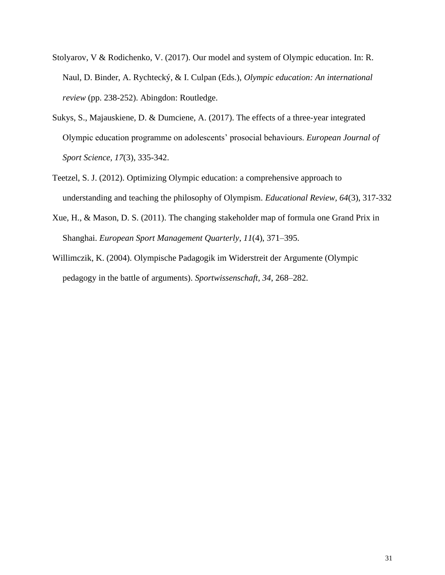- Stolyarov, V & Rodichenko, V. (2017). Our model and system of Olympic education. In: R. Naul, D. Binder, A. Rychtecký, & I. Culpan (Eds.), *Olympic education: An international review* (pp. 238-252). Abingdon: Routledge.
- Sukys, S., Majauskiene, D. & Dumciene, A. (2017). The effects of a three-year integrated Olympic education programme on adolescents' prosocial behaviours. *European Journal of Sport Science, 17*(3), 335-342.
- Teetzel, S. J. (2012). Optimizing Olympic education: a comprehensive approach to understanding and teaching the philosophy of Olympism. *Educational Review, 64*(3), 317-332
- Xue, H., & Mason, D. S. (2011). The changing stakeholder map of formula one Grand Prix in Shanghai. *European Sport Management Quarterly*, *11*(4), 371–395.
- Willimczik, K. (2004). Olympische Padagogik im Widerstreit der Argumente (Olympic pedagogy in the battle of arguments). *Sportwissenschaft, 34*, 268–282.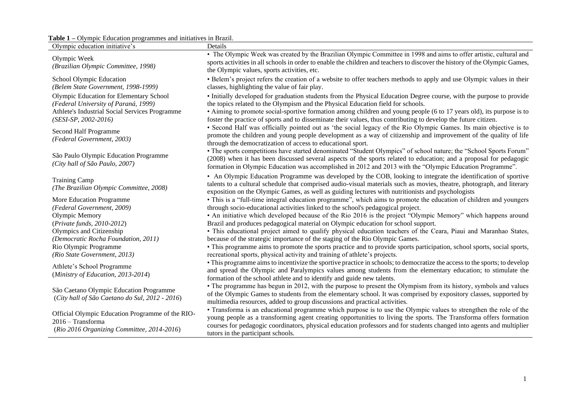### **Table 1 –** Olympic Education programmes and initiatives in Brazil.

| <b>EXAMPLE 21 Second Second Second Programmes</b> and initial result brazil.<br>Olympic education initiative's                                              | Details                                                                                                                                                                                                                                                                                                                                                                                                                                             |
|-------------------------------------------------------------------------------------------------------------------------------------------------------------|-----------------------------------------------------------------------------------------------------------------------------------------------------------------------------------------------------------------------------------------------------------------------------------------------------------------------------------------------------------------------------------------------------------------------------------------------------|
| Olympic Week<br>(Brazilian Olympic Committee, 1998)                                                                                                         | • The Olympic Week was created by the Brazilian Olympic Committee in 1998 and aims to offer artistic, cultural and<br>sports activities in all schools in order to enable the children and teachers to discover the history of the Olympic Games,<br>the Olympic values, sports activities, etc.                                                                                                                                                    |
| School Olympic Education<br>(Belem State Government, 1998-1999)                                                                                             | • Belem's project refers the creation of a website to offer teachers methods to apply and use Olympic values in their<br>classes, highlighting the value of fair play.                                                                                                                                                                                                                                                                              |
| Olympic Education for Elementary School<br>(Federal University of Paraná, 1999)<br>Athlete's Industrial Social Services Programme<br>$(SESI-SP, 2002-2016)$ | · Initially developed for graduation students from the Physical Education Degree course, with the purpose to provide<br>the topics related to the Olympism and the Physical Education field for schools.<br>• Aiming to promote social-sportive formation among children and young people (6 to 17 years old), its purpose is to<br>foster the practice of sports and to disseminate their values, thus contributing to develop the future citizen. |
| Second Half Programme<br>(Federal Government, 2003)                                                                                                         | • Second Half was officially pointed out as 'the social legacy of the Rio Olympic Games. Its main objective is to<br>promote the children and young people development as a way of citizenship and improvement of the quality of life<br>through the democratization of access to educational sport.                                                                                                                                                |
| São Paulo Olympic Education Programme<br>(City hall of São Paulo, 2007)                                                                                     | • The sports competitions have started denominated "Student Olympics" of school nature; the "School Sports Forum"<br>(2008) when it has been discussed several aspects of the sports related to education; and a proposal for pedagogic<br>formation in Olympic Education was accomplished in 2012 and 2013 with the "Olympic Education Programme".                                                                                                 |
| <b>Training Camp</b><br>(The Brazilian Olympic Committee, 2008)                                                                                             | • An Olympic Education Programme was developed by the COB, looking to integrate the identification of sportive<br>talents to a cultural schedule that comprised audio-visual materials such as movies, theatre, photograph, and literary<br>exposition on the Olympic Games, as well as guiding lectures with nutritionists and psychologists                                                                                                       |
| More Education Programme<br>(Federal Government, 2009)                                                                                                      | · This is a "full-time integral education programme", which aims to promote the education of children and youngers<br>through socio-educational activities linked to the school's pedagogical project.                                                                                                                                                                                                                                              |
| Olympic Memory<br>(Private funds, 2010-2012)                                                                                                                | • An initiative which developed because of the Rio 2016 is the project "Olympic Memory" which happens around<br>Brazil and produces pedagogical material on Olympic education for school support.                                                                                                                                                                                                                                                   |
| Olympics and Citizenship<br>(Democratic Rocha Foundation, 2011)                                                                                             | · This educational project aimed to qualify physical education teachers of the Ceara, Piaui and Maranhao States,<br>because of the strategic importance of the staging of the Rio Olympic Games.                                                                                                                                                                                                                                                    |
| Rio Olympic Programme<br>(Rio State Government, 2013)                                                                                                       | • This programme aims to promote the sports practice and to provide sports participation, school sports, social sports,<br>recreational sports, physical activity and training of athlete's projects.                                                                                                                                                                                                                                               |
| Athlete's School Programme<br>(Ministry of Education, 2013-2014)                                                                                            | • This programme aims to incentivize the sportive practice in schools; to democratize the access to the sports; to develop<br>and spread the Olympic and Paralympics values among students from the elementary education; to stimulate the<br>formation of the school athlete and to identify and guide new talents.                                                                                                                                |
| São Caetano Olympic Education Programme<br>(City hall of São Caetano do Sul, 2012 - 2016)                                                                   | • The programme has begun in 2012, with the purpose to present the Olympism from its history, symbols and values<br>of the Olympic Games to students from the elementary school. It was comprised by expository classes, supported by<br>multimedia resources, added to group discussions and practical activities.                                                                                                                                 |
| Official Olympic Education Programme of the RIO-<br>$2016 - Transforma$<br>(Rio 2016 Organizing Committee, 2014-2016)                                       | • Transforma is an educational programme which purpose is to use the Olympic values to strengthen the role of the<br>young people as a transforming agent creating opportunities to living the sports. The Transforma offers formation<br>courses for pedagogic coordinators, physical education professors and for students changed into agents and multiplier<br>tutors in the participant schools.                                               |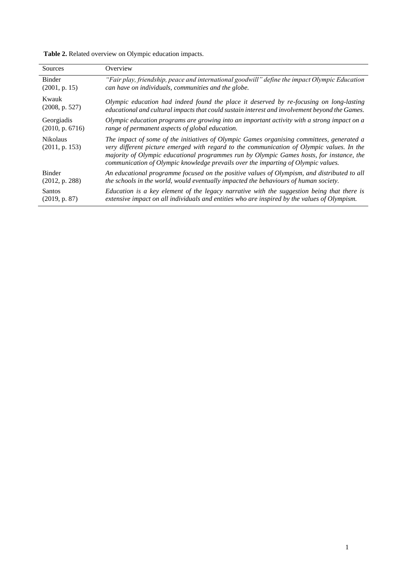**Table 2.** Related overview on Olympic education impacts.

| Sources                           | Overview                                                                                                                                                                                                                                                                                                                                                                |
|-----------------------------------|-------------------------------------------------------------------------------------------------------------------------------------------------------------------------------------------------------------------------------------------------------------------------------------------------------------------------------------------------------------------------|
| <b>Binder</b>                     | "Fair play, friendship, peace and international goodwill" define the impact Olympic Education                                                                                                                                                                                                                                                                           |
| (2001, p. 15)                     | can have on individuals, communities and the globe.                                                                                                                                                                                                                                                                                                                     |
| Kwauk                             | Olympic education had indeed found the place it deserved by re-focusing on long-lasting                                                                                                                                                                                                                                                                                 |
| (2008, p. 527)                    | educational and cultural impacts that could sustain interest and involvement beyond the Games.                                                                                                                                                                                                                                                                          |
| Georgiadis                        | Olympic education programs are growing into an important activity with a strong impact on a                                                                                                                                                                                                                                                                             |
| (2010, p. 6716)                   | range of permanent aspects of global education.                                                                                                                                                                                                                                                                                                                         |
| <b>Nikolaus</b><br>(2011, p. 153) | The impact of some of the initiatives of Olympic Games organising committees, generated a<br>very different picture emerged with regard to the communication of Olympic values. In the<br>majority of Olympic educational programmes run by Olympic Games hosts, for instance, the<br>communication of Olympic knowledge prevails over the imparting of Olympic values. |
| <b>Binder</b>                     | An educational programme focused on the positive values of Olympism, and distributed to all                                                                                                                                                                                                                                                                             |
| (2012, p. 288)                    | the schools in the world, would eventually impacted the behaviours of human society.                                                                                                                                                                                                                                                                                    |
| Santos                            | Education is a key element of the legacy narrative with the suggestion being that there is                                                                                                                                                                                                                                                                              |
| (2019, p. 87)                     | extensive impact on all individuals and entities who are inspired by the values of Olympism.                                                                                                                                                                                                                                                                            |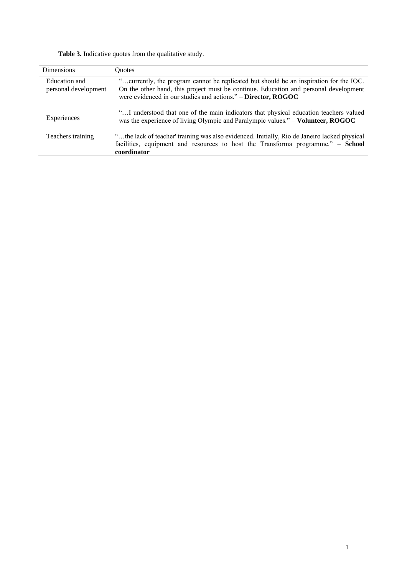Table 3. Indicative quotes from the qualitative study.

| <b>Dimensions</b>                     | <b>Ouotes</b>                                                                                                                                                                                                                                   |
|---------------------------------------|-------------------------------------------------------------------------------------------------------------------------------------------------------------------------------------------------------------------------------------------------|
| Education and<br>personal development | "currently, the program cannot be replicated but should be an inspiration for the IOC.<br>On the other hand, this project must be continue. Education and personal development<br>were evidenced in our studies and actions." - Director, ROGOC |
| Experiences                           | "I understood that one of the main indicators that physical education teachers valued<br>was the experience of living Olympic and Paralympic values." – Volunteer, ROGOC                                                                        |
| Teachers training                     | "the lack of teacher' training was also evidenced. Initially, Rio de Janeiro lacked physical<br>facilities, equipment and resources to host the Transforma programme." - School<br>coordinator                                                  |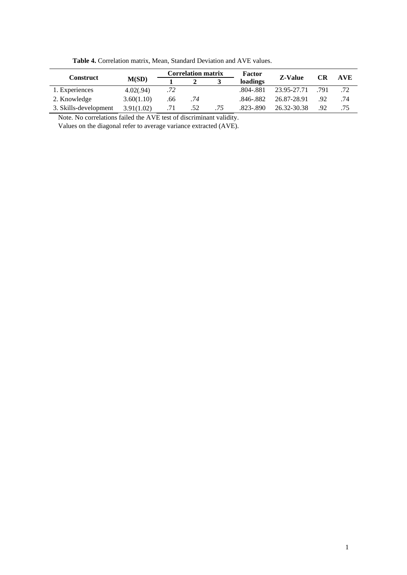|                       | M(SD)      | <b>Correlation matrix</b> |     |     | Factor        |                |           |            |
|-----------------------|------------|---------------------------|-----|-----|---------------|----------------|-----------|------------|
| <b>Construct</b>      |            |                           |     |     | loadings      | <b>Z-Value</b> | <b>CR</b> | <b>AVE</b> |
| 1. Experiences        | 4.02(.94)  | .72                       |     |     | .804-.881     | 23.95-27.71    | .791      | .72        |
| 2. Knowledge          | 3.60(1.10) | .66                       | .74 |     | .846-.882     | 26.87-28.91    | .92       | .74        |
| 3. Skills-development | 3.91(1.02) | .71                       | .52 | .75 | $.823 - .890$ | 26.32-30.38    | .92       | .75        |

**Table 4.** Correlation matrix, Mean, Standard Deviation and AVE values.

Note. No correlations failed the AVE test of discriminant validity.

Values on the diagonal refer to average variance extracted (AVE).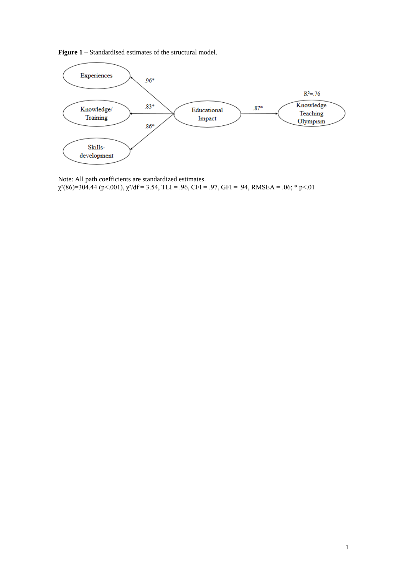**Figure 1** – Standardised estimates of the structural model.



Note: All path coefficients are standardized estimates.  $\chi^2(86)=304.44$  (p<.001),  $\chi^2/df = 3.54$ , TLI = .96, CFI = .97, GFI = .94, RMSEA = .06; \* p<.01